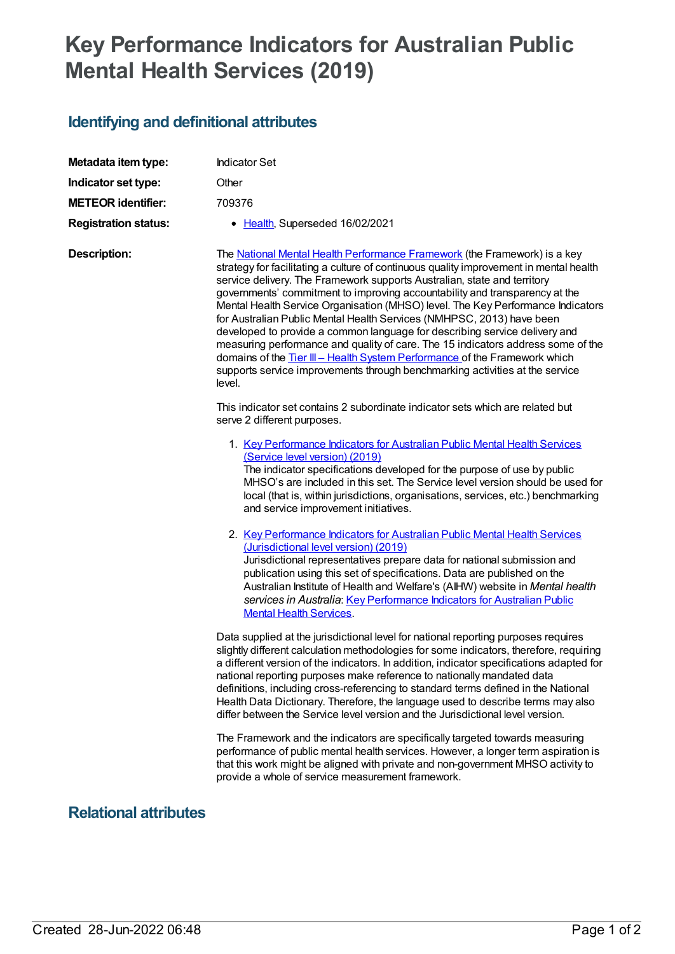## **Key Performance Indicators for Australian Public Mental Health Services (2019)**

## **Identifying and definitional attributes**

| Metadata item type:         | <b>Indicator Set</b>                                                                                                                                                                                                                                                                                                                                                                                                                                                                                                                                                                                                                                                                                                                                                                                                                 |
|-----------------------------|--------------------------------------------------------------------------------------------------------------------------------------------------------------------------------------------------------------------------------------------------------------------------------------------------------------------------------------------------------------------------------------------------------------------------------------------------------------------------------------------------------------------------------------------------------------------------------------------------------------------------------------------------------------------------------------------------------------------------------------------------------------------------------------------------------------------------------------|
| Indicator set type:         | Other                                                                                                                                                                                                                                                                                                                                                                                                                                                                                                                                                                                                                                                                                                                                                                                                                                |
| <b>METEOR identifier:</b>   | 709376                                                                                                                                                                                                                                                                                                                                                                                                                                                                                                                                                                                                                                                                                                                                                                                                                               |
| <b>Registration status:</b> | • Health, Superseded 16/02/2021                                                                                                                                                                                                                                                                                                                                                                                                                                                                                                                                                                                                                                                                                                                                                                                                      |
| <b>Description:</b>         | The National Mental Health Performance Framework (the Framework) is a key<br>strategy for facilitating a culture of continuous quality improvement in mental health<br>service delivery. The Framework supports Australian, state and territory<br>governments' commitment to improving accountability and transparency at the<br>Mental Health Service Organisation (MHSO) level. The Key Performance Indicators<br>for Australian Public Mental Health Services (NMHPSC, 2013) have been<br>developed to provide a common language for describing service delivery and<br>measuring performance and quality of care. The 15 indicators address some of the<br>domains of the Tier III - Health System Performance of the Framework which<br>supports service improvements through benchmarking activities at the service<br>level. |
|                             | This indicator set contains 2 subordinate indicator sets which are related but<br>serve 2 different purposes.                                                                                                                                                                                                                                                                                                                                                                                                                                                                                                                                                                                                                                                                                                                        |
|                             | 1. Key Performance Indicators for Australian Public Mental Health Services<br>(Service level version) (2019)<br>The indicator specifications developed for the purpose of use by public<br>MHSO's are included in this set. The Service level version should be used for<br>local (that is, within jurisdictions, organisations, services, etc.) benchmarking<br>and service improvement initiatives.                                                                                                                                                                                                                                                                                                                                                                                                                                |
|                             | 2. Key Performance Indicators for Australian Public Mental Health Services<br>(Jurisdictional level version) (2019)<br>Jurisdictional representatives prepare data for national submission and<br>publication using this set of specifications. Data are published on the<br>Australian Institute of Health and Welfare's (AIHW) website in Mental health<br>services in Australia: Key Performance Indicators for Australian Public<br><b>Mental Health Services.</b>                                                                                                                                                                                                                                                                                                                                                               |
|                             | Data supplied at the jurisdictional level for national reporting purposes requires<br>slightly different calculation methodologies for some indicators, therefore, requiring<br>a different version of the indicators. In addition, indicator specifications adapted for<br>national reporting purposes make reference to nationally mandated data<br>definitions, including cross-referencing to standard terms defined in the National<br>Health Data Dictionary. Therefore, the language used to describe terms may also<br>differ between the Service level version and the Jurisdictional level version.                                                                                                                                                                                                                        |
|                             | The Framework and the indicators are specifically targeted towards measuring<br>performance of public mental health services. However, a longer term aspiration is<br>that this work might be aligned with private and non-government MHSO activity to<br>provide a whole of service measurement framework.                                                                                                                                                                                                                                                                                                                                                                                                                                                                                                                          |

## **Relational attributes**